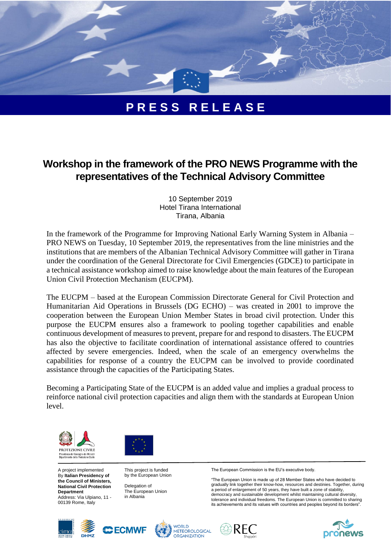

## **P R E S S R E L E A S E**

## **Workshop in the framework of the PRO NEWS Programme with the representatives of the Technical Advisory Committee**

*10 September 2019 Hotel Tirana International Tirana, Albania*

In the framework of the Programme for Improving National Early Warning System in Albania – PRO NEWS on Tuesday, 10 September 2019, the representatives from the line ministries and the institutions that are members of the Albanian Technical Advisory Committee will gather in Tirana under the coordination of the General Directorate for Civil Emergencies (GDCE) to participate in a technical assistance workshop aimed to raise knowledge about the main features of the European Union Civil Protection Mechanism (EUCPM).

The EUCPM – based at the European Commission Directorate General for Civil Protection and Humanitarian Aid Operations in Brussels (DG ECHO) – was created in 2001 to improve the cooperation between the European Union Member States in broad civil protection. Under this purpose the EUCPM ensures also a framework to pooling together capabilities and enable continuous development of measures to prevent, prepare for and respond to disasters. The EUCPM has also the objective to facilitate coordination of international assistance offered to countries affected by severe emergencies. Indeed, when the scale of an emergency overwhelms the capabilities for response of a country the EUCPM can be involved to provide coordinated assistance through the capacities of the Participating States.

Becoming a Participating State of the EUCPM is an added value and implies a gradual process to reinforce national civil protection capacities and align them with the standards at European Union level.





A project implemented By **Italian Presidency of the Council of Ministers, National Civil Protection Department** Address: Via Ulpiano, 11 - 00139 Rome, Italy

This project is funded by the European Union

Delegation of The European Union in Albania

The European Commission is the EU's executive body.

"The European Union is made up of 28 Member States who have decided to gradually link together their know-how, resources and destinies. Together, during a period of enlargement of 50 years, they have built a zone of stability, democracy and sustainable development whilst maintaining cultural diversity, tolerance and individual freedoms. The European Union is committed to sharing its achievements and its values with countries and peoples beyond its borders